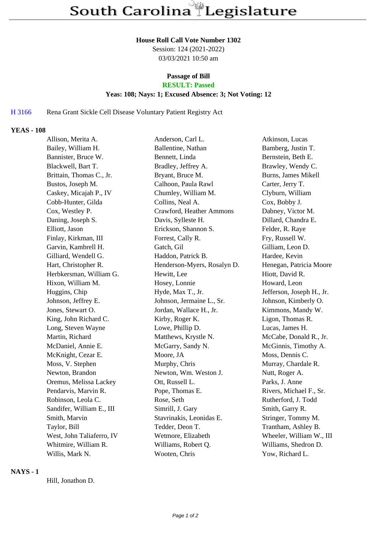#### **House Roll Call Vote Number 1302**

Session: 124 (2021-2022) 03/03/2021 10:50 am

## **Passage of Bill**

# **RESULT: Passed**

### **Yeas: 108; Nays: 1; Excused Absence: 3; Not Voting: 12**

# H 3166 Rena Grant Sickle Cell Disease Voluntary Patient Registry Act

#### **YEAS - 108**

| Allison, Merita A.        | Anderson, Carl L.           | Atkinson, Lucas           |
|---------------------------|-----------------------------|---------------------------|
| Bailey, William H.        | Ballentine, Nathan          | Bamberg, Justin T.        |
| Bannister, Bruce W.       | Bennett, Linda              | Bernstein, Beth E.        |
| Blackwell, Bart T.        | Bradley, Jeffrey A.         | Brawley, Wendy C.         |
| Brittain, Thomas C., Jr.  | Bryant, Bruce M.            | Burns, James Mikell       |
| Bustos, Joseph M.         | Calhoon, Paula Rawl         | Carter, Jerry T.          |
| Caskey, Micajah P., IV    | Chumley, William M.         | Clyburn, William          |
| Cobb-Hunter, Gilda        | Collins, Neal A.            | Cox, Bobby J.             |
| Cox, Westley P.           | Crawford, Heather Ammons    | Dabney, Victor M.         |
| Daning, Joseph S.         | Davis, Sylleste H.          | Dillard, Chandra E.       |
| Elliott, Jason            | Erickson, Shannon S.        | Felder, R. Raye           |
| Finlay, Kirkman, III      | Forrest, Cally R.           | Fry, Russell W.           |
| Garvin, Kambrell H.       | Gatch, Gil                  | Gilliam, Leon D.          |
| Gilliard, Wendell G.      | Haddon, Patrick B.          | Hardee, Kevin             |
| Hart, Christopher R.      | Henderson-Myers, Rosalyn D. | Henegan, Patricia Moore   |
| Herbkersman, William G.   | Hewitt, Lee                 | Hiott, David R.           |
| Hixon, William M.         | Hosey, Lonnie               | Howard, Leon              |
| Huggins, Chip             | Hyde, Max T., Jr.           | Jefferson, Joseph H., Jr. |
| Johnson, Jeffrey E.       | Johnson, Jermaine L., Sr.   | Johnson, Kimberly O.      |
| Jones, Stewart O.         | Jordan, Wallace H., Jr.     | Kimmons, Mandy W.         |
| King, John Richard C.     | Kirby, Roger K.             | Ligon, Thomas R.          |
| Long, Steven Wayne        | Lowe, Phillip D.            | Lucas, James H.           |
| Martin, Richard           | Matthews, Krystle N.        | McCabe, Donald R., Jr.    |
| McDaniel, Annie E.        | McGarry, Sandy N.           | McGinnis, Timothy A.      |
| McKnight, Cezar E.        | Moore, JA                   | Moss, Dennis C.           |
| Moss, V. Stephen          | Murphy, Chris               | Murray, Chardale R.       |
| Newton, Brandon           | Newton, Wm. Weston J.       | Nutt, Roger A.            |
| Oremus, Melissa Lackey    | Ott, Russell L.             | Parks, J. Anne            |
| Pendarvis, Marvin R.      | Pope, Thomas E.             | Rivers, Michael F., Sr.   |
| Robinson, Leola C.        | Rose, Seth                  | Rutherford, J. Todd       |
| Sandifer, William E., III | Simrill, J. Gary            | Smith, Garry R.           |
| Smith, Marvin             | Stavrinakis, Leonidas E.    | Stringer, Tommy M.        |
| Taylor, Bill              | Tedder, Deon T.             | Trantham, Ashley B.       |
| West, John Taliaferro, IV | Wetmore, Elizabeth          | Wheeler, William W., III  |
| Whitmire, William R.      | Williams, Robert Q.         | Williams, Shedron D.      |
| Willis, Mark N.           | Wooten, Chris               | Yow, Richard L.           |

# **NAYS - 1**

Hill, Jonathon D.